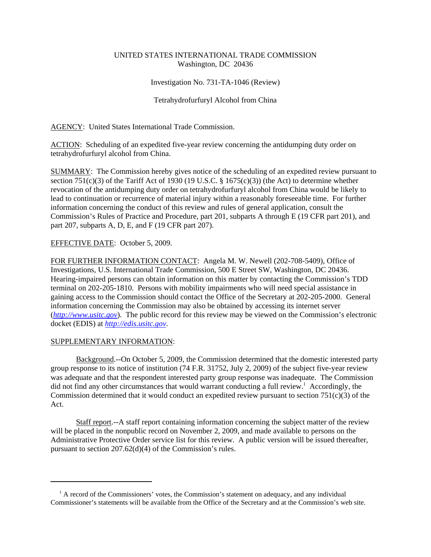# UNITED STATES INTERNATIONAL TRADE COMMISSION Washington, DC 20436

### Investigation No. 731-TA-1046 (Review)

### Tetrahydrofurfuryl Alcohol from China

AGENCY: United States International Trade Commission.

ACTION: Scheduling of an expedited five-year review concerning the antidumping duty order on tetrahydrofurfuryl alcohol from China.

SUMMARY: The Commission hereby gives notice of the scheduling of an expedited review pursuant to section 751(c)(3) of the Tariff Act of 1930 (19 U.S.C. § 1675(c)(3)) (the Act) to determine whether revocation of the antidumping duty order on tetrahydrofurfuryl alcohol from China would be likely to lead to continuation or recurrence of material injury within a reasonably foreseeable time. For further information concerning the conduct of this review and rules of general application, consult the Commission's Rules of Practice and Procedure, part 201, subparts A through E (19 CFR part 201), and part 207, subparts A, D, E, and F (19 CFR part 207).

## EFFECTIVE DATE: October 5, 2009.

FOR FURTHER INFORMATION CONTACT: Angela M. W. Newell (202-708-5409), Office of Investigations, U.S. International Trade Commission, 500 E Street SW, Washington, DC 20436. Hearing-impaired persons can obtain information on this matter by contacting the Commission's TDD terminal on 202-205-1810. Persons with mobility impairments who will need special assistance in gaining access to the Commission should contact the Office of the Secretary at 202-205-2000. General information concerning the Commission may also be obtained by accessing its internet server (*http://www.usitc.gov*). The public record for this review may be viewed on the Commission's electronic docket (EDIS) at *http://edis.usitc.gov*.

#### SUPPLEMENTARY INFORMATION:

Background.--On October 5, 2009, the Commission determined that the domestic interested party group response to its notice of institution (74 F.R. 31752, July 2, 2009) of the subject five-year review was adequate and that the respondent interested party group response was inadequate. The Commission did not find any other circumstances that would warrant conducting a full review.<sup>1</sup> Accordingly, the Commission determined that it would conduct an expedited review pursuant to section  $751(c)(3)$  of the Act.

Staff report.--A staff report containing information concerning the subject matter of the review will be placed in the nonpublic record on November 2, 2009, and made available to persons on the Administrative Protective Order service list for this review. A public version will be issued thereafter, pursuant to section 207.62(d)(4) of the Commission's rules.

<sup>&</sup>lt;sup>1</sup> A record of the Commissioners' votes, the Commission's statement on adequacy, and any individual Commissioner's statements will be available from the Office of the Secretary and at the Commission's web site.